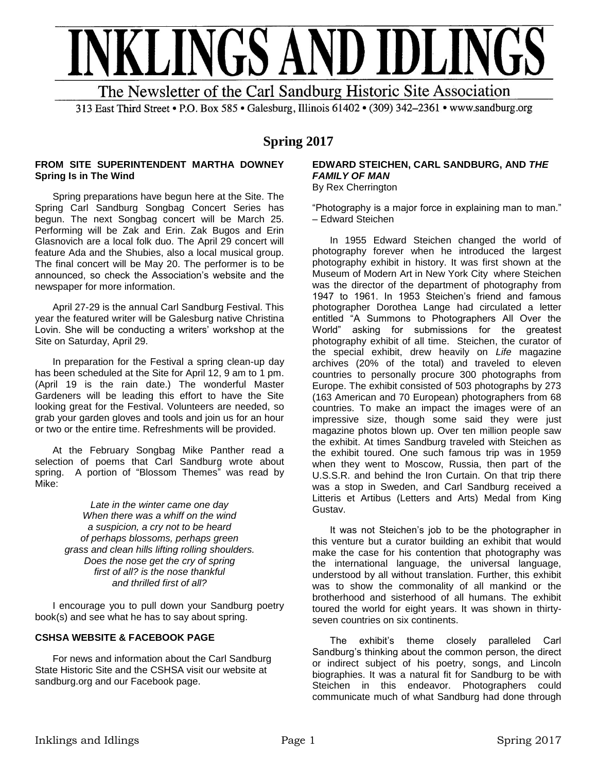

313 East Third Street • P.O. Box 585 • Galesburg, Illinois 61402 • (309) 342-2361 • www.sandburg.org

# **Spring 2017**

#### **FROM SITE SUPERINTENDENT MARTHA DOWNEY Spring Is in The Wind**

Spring preparations have begun here at the Site. The Spring Carl Sandburg Songbag Concert Series has begun. The next Songbag concert will be March 25. Performing will be Zak and Erin. Zak Bugos and Erin Glasnovich are a local folk duo. The April 29 concert will feature Ada and the Shubies, also a local musical group. The final concert will be May 20. The performer is to be announced, so check the Association's website and the newspaper for more information.

April 27-29 is the annual Carl Sandburg Festival. This year the featured writer will be Galesburg native Christina Lovin. She will be conducting a writers' workshop at the Site on Saturday, April 29.

In preparation for the Festival a spring clean-up day has been scheduled at the Site for April 12, 9 am to 1 pm. (April 19 is the rain date.) The wonderful Master Gardeners will be leading this effort to have the Site looking great for the Festival. Volunteers are needed, so grab your garden gloves and tools and join us for an hour or two or the entire time. Refreshments will be provided.

At the February Songbag Mike Panther read a selection of poems that Carl Sandburg wrote about spring. A portion of "Blossom Themes" was read by Mike:

> *Late in the winter came one day When there was a whiff on the wind a suspicion, a cry not to be heard of perhaps blossoms, perhaps green grass and clean hills lifting rolling shoulders. Does the nose get the cry of spring first of all? is the nose thankful and thrilled first of all?*

I encourage you to pull down your Sandburg poetry book(s) and see what he has to say about spring.

## **CSHSA WEBSITE & FACEBOOK PAGE**

For news and information about the Carl Sandburg State Historic Site and the CSHSA visit our website at sandburg.org and our Facebook page.

## **EDWARD STEICHEN, CARL SANDBURG, AND** *THE FAMILY OF MAN*

By Rex Cherrington

"Photography is a major force in explaining man to man." – Edward Steichen

In 1955 Edward Steichen changed the world of photography forever when he introduced the largest photography exhibit in history. It was first shown at the Museum of Modern Art in New York City where Steichen was the director of the department of photography from 1947 to 1961. In 1953 Steichen's friend and famous photographer Dorothea Lange had circulated a letter entitled "A Summons to Photographers All Over the World" asking for submissions for the greatest photography exhibit of all time. Steichen, the curator of the special exhibit, drew heavily on *Life* magazine archives (20% of the total) and traveled to eleven countries to personally procure 300 photographs from Europe. The exhibit consisted of 503 photographs by 273 (163 American and 70 European) photographers from 68 countries. To make an impact the images were of an impressive size, though some said they were just magazine photos blown up. Over ten million people saw the exhibit. At times Sandburg traveled with Steichen as the exhibit toured. One such famous trip was in 1959 when they went to Moscow, Russia, then part of the U.S.S.R. and behind the Iron Curtain. On that trip there was a stop in Sweden, and Carl Sandburg received a Litteris et Artibus (Letters and Arts) Medal from King Gustav.

It was not Steichen's job to be the photographer in this venture but a curator building an exhibit that would make the case for his contention that photography was the international language, the universal language, understood by all without translation. Further, this exhibit was to show the commonality of all mankind or the brotherhood and sisterhood of all humans. The exhibit toured the world for eight years. It was shown in thirtyseven countries on six continents.

The exhibit's theme closely paralleled Carl Sandburg's thinking about the common person, the direct or indirect subject of his poetry, songs, and Lincoln biographies. It was a natural fit for Sandburg to be with Steichen in this endeavor. Photographers could communicate much of what Sandburg had done through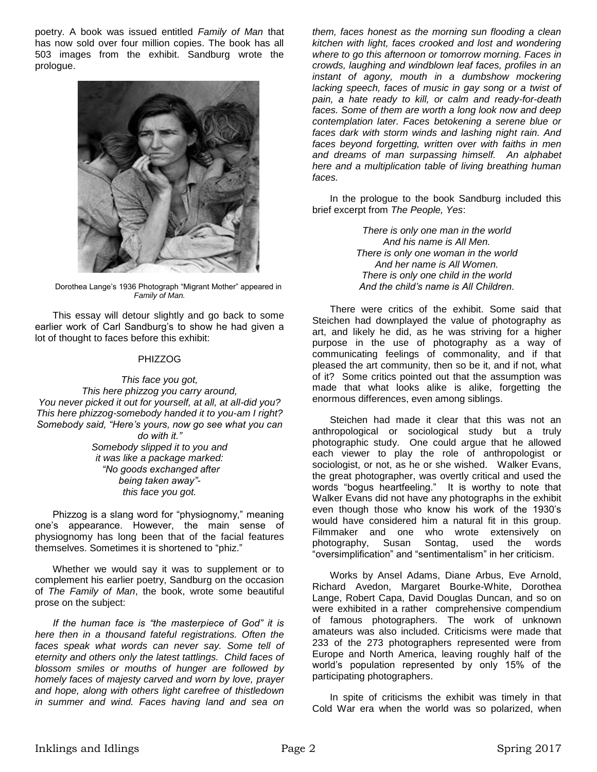poetry. A book was issued entitled *Family of Man* that has now sold over four million copies. The book has all 503 images from the exhibit. Sandburg wrote the prologue.



Dorothea Lange's 1936 Photograph "Migrant Mother" appeared in *Family of Man.*

This essay will detour slightly and go back to some earlier work of Carl Sandburg's to show he had given a lot of thought to faces before this exhibit:

### PHIZZOG

*This face you got, This here phizzog you carry around, You never picked it out for yourself, at all, at all-did you? This here phizzog-somebody handed it to you-am I right? Somebody said, "Here's yours, now go see what you can do with it." Somebody slipped it to you and it was like a package marked: "No goods exchanged after being taken away" this face you got.*

Phizzog is a slang word for "physiognomy," meaning one's appearance. However, the main sense of physiognomy has long been that of the facial features themselves. Sometimes it is shortened to "phiz."

Whether we would say it was to supplement or to complement his earlier poetry, Sandburg on the occasion of *The Family of Man*, the book, wrote some beautiful prose on the subject:

*If the human face is "the masterpiece of God" it is here then in a thousand fateful registrations. Often the faces speak what words can never say. Some tell of eternity and others only the latest tattlings. Child faces of blossom smiles or mouths of hunger are followed by homely faces of majesty carved and worn by love, prayer and hope, along with others light carefree of thistledown in summer and wind. Faces having land and sea on*  *them, faces honest as the morning sun flooding a clean kitchen with light, faces crooked and lost and wondering where to go this afternoon or tomorrow morning. Faces in crowds, laughing and windblown leaf faces, profiles in an instant of agony, mouth in a dumbshow mockering lacking speech, faces of music in gay song or a twist of pain, a hate ready to kill, or calm and ready-for-death faces. Some of them are worth a long look now and deep contemplation later. Faces betokening a serene blue or faces dark with storm winds and lashing night rain. And faces beyond forgetting, written over with faiths in men and dreams of man surpassing himself. An alphabet here and a multiplication table of living breathing human faces.* 

In the prologue to the book Sandburg included this brief excerpt from *The People, Yes*:

> *There is only one man in the world And his name is All Men. There is only one woman in the world And her name is All Women. There is only one child in the world And the child's name is All Children.*

There were critics of the exhibit. Some said that Steichen had downplayed the value of photography as art, and likely he did, as he was striving for a higher purpose in the use of photography as a way of communicating feelings of commonality, and if that pleased the art community, then so be it, and if not, what of it? Some critics pointed out that the assumption was made that what looks alike is alike, forgetting the enormous differences, even among siblings.

Steichen had made it clear that this was not an anthropological or sociological study but a truly photographic study. One could argue that he allowed each viewer to play the role of anthropologist or sociologist, or not, as he or she wished. Walker Evans, the great photographer, was overtly critical and used the words "bogus heartfeeling." It is worthy to note that Walker Evans did not have any photographs in the exhibit even though those who know his work of the 1930's would have considered him a natural fit in this group. Filmmaker and one who wrote extensively on photography, Susan Sontag, used the words "oversimplification" and "sentimentalism" in her criticism.

Works by Ansel Adams, Diane Arbus, Eve Arnold, Richard Avedon, Margaret Bourke-White, Dorothea Lange, Robert Capa, David Douglas Duncan, and so on were exhibited in a rather comprehensive compendium of famous photographers. The work of unknown amateurs was also included. Criticisms were made that 233 of the 273 photographers represented were from Europe and North America, leaving roughly half of the world's population represented by only 15% of the participating photographers.

In spite of criticisms the exhibit was timely in that Cold War era when the world was so polarized, when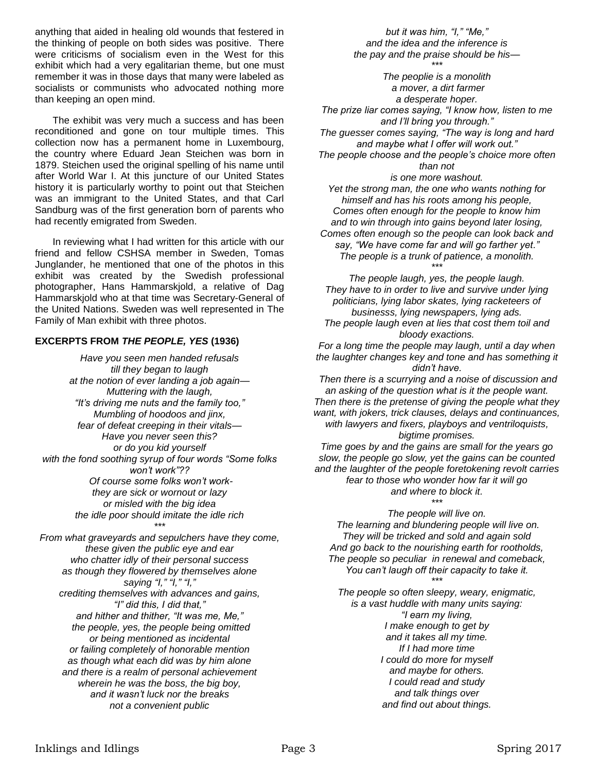anything that aided in healing old wounds that festered in the thinking of people on both sides was positive. There were criticisms of socialism even in the West for this exhibit which had a very egalitarian theme, but one must remember it was in those days that many were labeled as socialists or communists who advocated nothing more than keeping an open mind.

The exhibit was very much a success and has been reconditioned and gone on tour multiple times. This collection now has a permanent home in Luxembourg, the country where Eduard Jean Steichen was born in 1879. Steichen used the original spelling of his name until after World War I. At this juncture of our United States history it is particularly worthy to point out that Steichen was an immigrant to the United States, and that Carl Sandburg was of the first generation born of parents who had recently emigrated from Sweden.

In reviewing what I had written for this article with our friend and fellow CSHSA member in Sweden, Tomas Junglander, he mentioned that one of the photos in this exhibit was created by the Swedish professional photographer, Hans Hammarskjold, a relative of Dag Hammarskjold who at that time was Secretary-General of the United Nations. Sweden was well represented in The Family of Man exhibit with three photos.

### **EXCERPTS FROM** *THE PEOPLE, YES* **(1936)**

*Have you seen men handed refusals till they began to laugh at the notion of ever landing a job again— Muttering with the laugh, "It's driving me nuts and the family too," Mumbling of hoodoos and jinx, fear of defeat creeping in their vitals— Have you never seen this? or do you kid yourself with the fond soothing syrup of four words "Some folks won't work"?? Of course some folks won't workthey are sick or wornout or lazy or misled with the big idea the idle poor should imitate the idle rich \*\*\**

*From what graveyards and sepulchers have they come, these given the public eye and ear who chatter idly of their personal success as though they flowered by themselves alone saying "I," "I," "I," crediting themselves with advances and gains, "I" did this, I did that," and hither and thither, "It was me, Me," the people, yes, the people being omitted or being mentioned as incidental or failing completely of honorable mention as though what each did was by him alone and there is a realm of personal achievement wherein he was the boss, the big boy, and it wasn't luck nor the breaks not a convenient public*

*but it was him, "I," "Me," and the idea and the inference is the pay and the praise should be his— \*\*\**

*The peoplie is a monolith a mover, a dirt farmer a desperate hoper. The prize liar comes saying, "I know how, listen to me and I'll bring you through." The guesser comes saying, "The way is long and hard and maybe what I offer will work out." The people choose and the people's choice more often than not is one more washout. Yet the strong man, the one who wants nothing for himself and has his roots among his people,*

*Comes often enough for the people to know him and to win through into gains beyond later losing, Comes often enough so the people can look back and say, "We have come far and will go farther yet." The people is a trunk of patience, a monolith.*

*\*\*\* The people laugh, yes, the people laugh. They have to in order to live and survive under lying politicians, lying labor skates, lying racketeers of businesss, lying newspapers, lying ads. The people laugh even at lies that cost them toil and bloody exactions.*

*For a long time the people may laugh, until a day when the laughter changes key and tone and has something it didn't have.*

*Then there is a scurrying and a noise of discussion and an asking of the question what is it the people want. Then there is the pretense of giving the people what they want, with jokers, trick clauses, delays and continuances, with lawyers and fixers, playboys and ventriloquists, bigtime promises.*

*Time goes by and the gains are small for the years go slow, the people go slow, yet the gains can be counted and the laughter of the people foretokening revolt carries fear to those who wonder how far it will go and where to block it. \*\*\**

*The people will live on. The learning and blundering people will live on. They will be tricked and sold and again sold And go back to the nourishing earth for rootholds, The people so peculiar in renewal and comeback, You can't laugh off their capacity to take it. \*\*\**

*The people so often sleepy, weary, enigmatic, is a vast huddle with many units saying: "I earn my living, I make enough to get by and it takes all my time. If I had more time I could do more for myself and maybe for others. I could read and study and talk things over and find out about things.*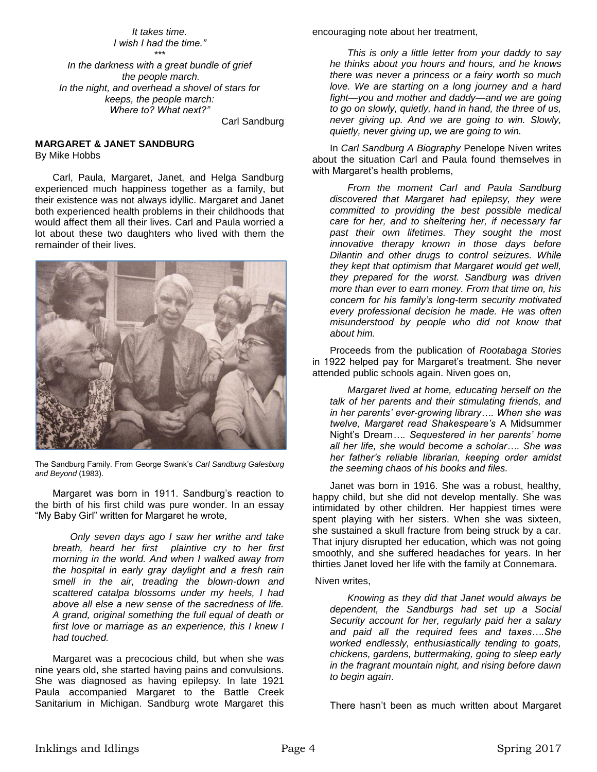#### *It takes time. I wish I had the time." \*\*\**

*In the darkness with a great bundle of grief the people march. In the night, and overhead a shovel of stars for keeps, the people march: Where to? What next?"*

Carl Sandburg

## **MARGARET & JANET SANDBURG**

By Mike Hobbs

Carl, Paula, Margaret, Janet, and Helga Sandburg experienced much happiness together as a family, but their existence was not always idyllic. Margaret and Janet both experienced health problems in their childhoods that would affect them all their lives. Carl and Paula worried a lot about these two daughters who lived with them the remainder of their lives.



The Sandburg Family. From George Swank's *Carl Sandburg Galesburg and Beyond* (1983).

Margaret was born in 1911. Sandburg's reaction to the birth of his first child was pure wonder. In an essay "My Baby Girl" written for Margaret he wrote,

*Only seven days ago I saw her writhe and take breath, heard her first plaintive cry to her first morning in the world. And when I walked away from the hospital in early gray daylight and a fresh rain smell in the air, treading the blown-down and scattered catalpa blossoms under my heels, I had above all else a new sense of the sacredness of life. A grand, original something the full equal of death or first love or marriage as an experience, this I knew I had touched.*

Margaret was a precocious child, but when she was nine years old, she started having pains and convulsions. She was diagnosed as having epilepsy. In late 1921 Paula accompanied Margaret to the Battle Creek Sanitarium in Michigan. Sandburg wrote Margaret this encouraging note about her treatment,

*This is only a little letter from your daddy to say he thinks about you hours and hours, and he knows there was never a princess or a fairy worth so much love. We are starting on a long journey and a hard fight—you and mother and daddy—and we are going to go on slowly, quietly, hand in hand, the three of us, never giving up. And we are going to win. Slowly, quietly, never giving up, we are going to win.*

In *Carl Sandburg A Biography* Penelope Niven writes about the situation Carl and Paula found themselves in with Margaret's health problems,

*From the moment Carl and Paula Sandburg discovered that Margaret had epilepsy, they were committed to providing the best possible medical care for her, and to sheltering her, if necessary far past their own lifetimes. They sought the most innovative therapy known in those days before Dilantin and other drugs to control seizures. While they kept that optimism that Margaret would get well, they prepared for the worst. Sandburg was driven more than ever to earn money. From that time on, his concern for his family's long-term security motivated every professional decision he made. He was often misunderstood by people who did not know that about him.*

Proceeds from the publication of *Rootabaga Stories*  in 1922 helped pay for Margaret's treatment. She never attended public schools again. Niven goes on,

*Margaret lived at home, educating herself on the talk of her parents and their stimulating friends, and in her parents' ever-growing library…. When she was twelve, Margaret read Shakespeare's* A Midsummer Night's Dream*…. Sequestered in her parents' home all her life, she would become a scholar…. She was her father's reliable librarian, keeping order amidst the seeming chaos of his books and files.*

Janet was born in 1916. She was a robust, healthy, happy child, but she did not develop mentally. She was intimidated by other children. Her happiest times were spent playing with her sisters. When she was sixteen, she sustained a skull fracture from being struck by a car. That injury disrupted her education, which was not going smoothly, and she suffered headaches for years. In her thirties Janet loved her life with the family at Connemara.

#### Niven writes,

*Knowing as they did that Janet would always be dependent, the Sandburgs had set up a Social Security account for her, regularly paid her a salary and paid all the required fees and taxes….She worked endlessly, enthusiastically tending to goats, chickens, gardens, buttermaking, going to sleep early in the fragrant mountain night, and rising before dawn to begin again*.

There hasn't been as much written about Margaret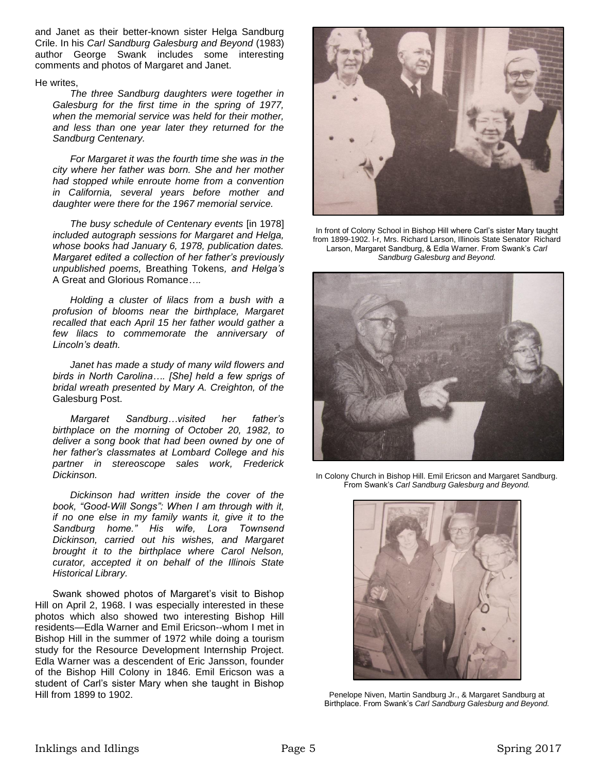and Janet as their better-known sister Helga Sandburg Crile. In his *Carl Sandburg Galesburg and Beyond* (1983) author George Swank includes some interesting comments and photos of Margaret and Janet.

#### He writes,

*The three Sandburg daughters were together in Galesburg for the first time in the spring of 1977, when the memorial service was held for their mother, and less than one year later they returned for the Sandburg Centenary.*

*For Margaret it was the fourth time she was in the city where her father was born. She and her mother had stopped while enroute home from a convention in California, several years before mother and daughter were there for the 1967 memorial service.* 

*The busy schedule of Centenary events* [in 1978] *included autograph sessions for Margaret and Helga, whose books had January 6, 1978, publication dates. Margaret edited a collection of her father's previously unpublished poems,* Breathing Tokens*, and Helga's*  A Great and Glorious Romance*….*

*Holding a cluster of lilacs from a bush with a profusion of blooms near the birthplace, Margaret recalled that each April 15 her father would gather a few lilacs to commemorate the anniversary of Lincoln's death.*

*Janet has made a study of many wild flowers and birds in North Carolina…. [She] held a few sprigs of bridal wreath presented by Mary A. Creighton, of the*  Galesburg Post.

*Margaret Sandburg…visited her father's birthplace on the morning of October 20, 1982, to deliver a song book that had been owned by one of her father's classmates at Lombard College and his partner in stereoscope sales work, Frederick Dickinson.*

*Dickinson had written inside the cover of the book, "Good-Will Songs": When I am through with it, if no one else in my family wants it, give it to the Sandburg home." His wife, Lora Townsend Dickinson, carried out his wishes, and Margaret brought it to the birthplace where Carol Nelson, curator, accepted it on behalf of the Illinois State Historical Library.* 

Swank showed photos of Margaret's visit to Bishop Hill on April 2, 1968. I was especially interested in these photos which also showed two interesting Bishop Hill residents—Edla Warner and Emil Ericson--whom I met in Bishop Hill in the summer of 1972 while doing a tourism study for the Resource Development Internship Project. Edla Warner was a descendent of Eric Jansson, founder of the Bishop Hill Colony in 1846. Emil Ericson was a student of Carl's sister Mary when she taught in Bishop Hill from 1899 to 1902.



In front of Colony School in Bishop Hill where Carl's sister Mary taught from 1899-1902. l-r, Mrs. Richard Larson, Illinois State Senator Richard Larson, Margaret Sandburg, & Edla Warner. From Swank's *Carl Sandburg Galesburg and Beyond.*



In Colony Church in Bishop Hill. Emil Ericson and Margaret Sandburg. From Swank's *Carl Sandburg Galesburg and Beyond.*



Penelope Niven, Martin Sandburg Jr., & Margaret Sandburg at Birthplace. From Swank's *Carl Sandburg Galesburg and Beyond.*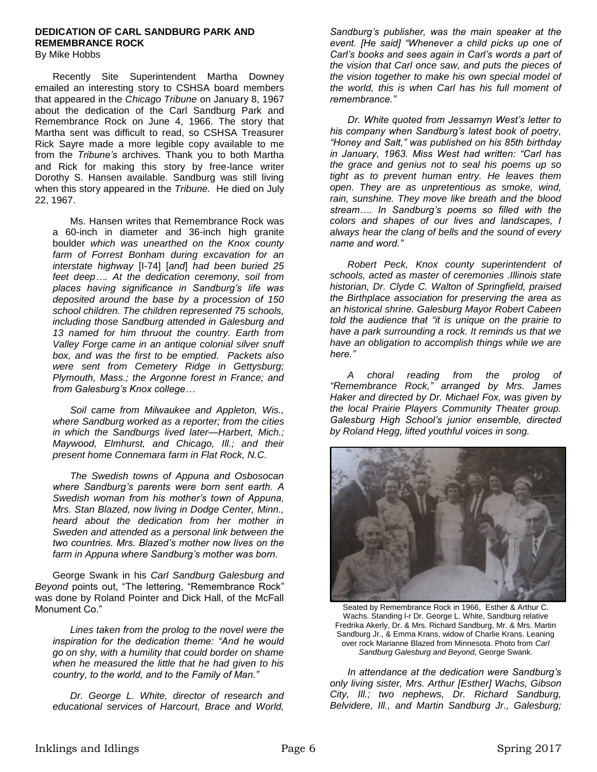## **DEDICATION OF CARL SANDBURG PARK AND REMEMBRANCE ROCK**

By Mike Hobbs

Recently Site Superintendent Martha Downey emailed an interesting story to CSHSA board members that appeared in the *Chicago Tribune* on January 8, 1967 about the dedication of the Carl Sandburg Park and Remembrance Rock on June 4, 1966. The story that Martha sent was difficult to read, so CSHSA Treasurer Rick Sayre made a more legible copy available to me from the *Tribune's* archives. Thank you to both Martha and Rick for making this story by free-lance writer Dorothy S. Hansen available. Sandburg was still living when this story appeared in the *Tribune.* He died on July 22, 1967.

Ms. Hansen writes that Remembrance Rock was a 60-inch in diameter and 36-inch high granite boulder *which was unearthed on the Knox county farm of Forrest Bonham during excavation for an interstate highway* [I-74] [*and*] *had been buried 25 feet deep…. At the dedication ceremony, soil from places having significance in Sandburg's life was deposited around the base by a procession of 150 school children. The children represented 75 schools, including those Sandburg attended in Galesburg and 13 named for him thruout the country. Earth from Valley Forge came in an antique colonial silver snuff box, and was the first to be emptied. Packets also were sent from Cemetery Ridge in Gettysburg; Plymouth, Mass.; the Argonne forest in France; and from Galesburg's Knox college…*

*Soil came from Milwaukee and Appleton, Wis., where Sandburg worked as a reporter; from the cities in which the Sandburgs lived later—Harbert, Mich.; Maywood, Elmhurst, and Chicago, Ill.; and their present home Connemara farm in Flat Rock, N.C.*

*The Swedish towns of Appuna and Osbosocan where Sandburg's parents were born sent earth. A Swedish woman from his mother's town of Appuna, Mrs. Stan Blazed, now living in Dodge Center, Minn., heard about the dedication from her mother in Sweden and attended as a personal link between the two countries. Mrs. Blazed's mother now lives on the farm in Appuna where Sandburg's mother was born.* 

George Swank in his *Carl Sandburg Galesburg and Beyond* points out, "The lettering, "Remembrance Rock" was done by Roland Pointer and Dick Hall, of the McFall Monument Co."

*Lines taken from the prolog to the novel were the inspiration for the dedication theme: "And he would go on shy, with a humility that could border on shame when he measured the little that he had given to his country, to the world, and to the Family of Man."*

*Dr. George L. White, director of research and educational services of Harcourt, Brace and World,* 

*Sandburg's publisher, was the main speaker at the event. [He said] "Whenever a child picks up one of Carl's books and sees again in Carl's words a part of the vision that Carl once saw, and puts the pieces of the vision together to make his own special model of the world, this is when Carl has his full moment of remembrance."*

*Dr. White quoted from Jessamyn West's letter to his company when Sandburg's latest book of poetry, "Honey and Salt," was published on his 85th birthday in January, 1963. Miss West had written: "Carl has the grace and genius not to seal his poems up so tight as to prevent human entry. He leaves them open. They are as unpretentious as smoke, wind, rain, sunshine. They move like breath and the blood stream…. In Sandburg's poems so filled with the colors and shapes of our lives and landscapes, I always hear the clang of bells and the sound of every name and word."*

*Robert Peck, Knox county superintendent of schools, acted as master of ceremonies .Illinois state historian, Dr. Clyde C. Walton of Springfield, praised the Birthplace association for preserving the area as an historical shrine. Galesburg Mayor Robert Cabeen told the audience that "it is unique on the prairie to have a park surrounding a rock. It reminds us that we have an obligation to accomplish things while we are here."*

*A choral reading from the prolog of "Remembrance Rock," arranged by Mrs. James Haker and directed by Dr. Michael Fox, was given by the local Prairie Players Community Theater group. Galesburg High School's junior ensemble, directed by Roland Hegg, lifted youthful voices in song.*



Seated by Remembrance Rock in 1966, Esther & Arthur C. Wachs. Standing l-r Dr. George L. White, Sandburg relative Fredrika Akerly, Dr. & Mrs. Richard Sandburg, Mr. & Mrs. Martin Sandburg Jr., & Emma Krans, widow of Charlie Krans. Leaning over rock Marianne Blazed from Minnesota. Photo from *Carl Sandburg Galesburg and Beyond*, George Swank.

*In attendance at the dedication were Sandburg's only living sister, Mrs. Arthur [Esther] Wachs, Gibson City, Ill.; two nephews, Dr. Richard Sandburg, Belvidere, Ill., and Martin Sandburg Jr., Galesburg;*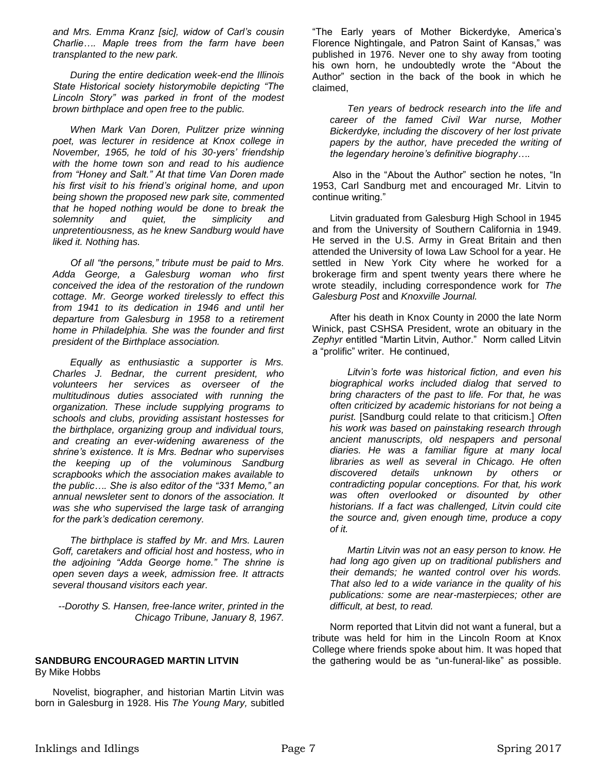*and Mrs. Emma Kranz [sic], widow of Carl's cousin Charlie…. Maple trees from the farm have been transplanted to the new park.*

*During the entire dedication week-end the Illinois State Historical society historymobile depicting "The Lincoln Story" was parked in front of the modest brown birthplace and open free to the public.*

*When Mark Van Doren, Pulitzer prize winning poet, was lecturer in residence at Knox college in November, 1965, he told of his 30-yers' friendship with the home town son and read to his audience from "Honey and Salt." At that time Van Doren made his first visit to his friend's original home, and upon being shown the proposed new park site, commented that he hoped nothing would be done to break the solemnity and quiet, the simplicity and unpretentiousness, as he knew Sandburg would have liked it. Nothing has.*

*Of all "the persons," tribute must be paid to Mrs. Adda George, a Galesburg woman who first conceived the idea of the restoration of the rundown cottage. Mr. George worked tirelessly to effect this from 1941 to its dedication in 1946 and until her departure from Galesburg in 1958 to a retirement home in Philadelphia. She was the founder and first president of the Birthplace association.*

*Equally as enthusiastic a supporter is Mrs. Charles J. Bednar, the current president, who volunteers her services as overseer of the multitudinous duties associated with running the organization. These include supplying programs to schools and clubs, providing assistant hostesses for the birthplace, organizing group and individual tours, and creating an ever-widening awareness of the shrine's existence. It is Mrs. Bednar who supervises the keeping up of the voluminous Sandburg scrapbooks which the association makes available to the public…. She is also editor of the "331 Memo," an annual newsleter sent to donors of the association. It was she who supervised the large task of arranging for the park's dedication ceremony.*

*The birthplace is staffed by Mr. and Mrs. Lauren Goff, caretakers and official host and hostess, who in the adjoining "Adda George home." The shrine is open seven days a week, admission free. It attracts several thousand visitors each year.*

*--Dorothy S. Hansen, free-lance writer, printed in the Chicago Tribune, January 8, 1967.* 

# **SANDBURG ENCOURAGED MARTIN LITVIN**

By Mike Hobbs

Novelist, biographer, and historian Martin Litvin was born in Galesburg in 1928. His *The Young Mary,* subitled "The Early years of Mother Bickerdyke, America's Florence Nightingale, and Patron Saint of Kansas," was published in 1976. Never one to shy away from tooting his own horn, he undoubtedly wrote the "About the Author" section in the back of the book in which he claimed,

*Ten years of bedrock research into the life and career of the famed Civil War nurse, Mother Bickerdyke, including the discovery of her lost private papers by the author, have preceded the writing of the legendary heroine's definitive biography….*

Also in the "About the Author" section he notes, "In 1953, Carl Sandburg met and encouraged Mr. Litvin to continue writing."

Litvin graduated from Galesburg High School in 1945 and from the University of Southern California in 1949. He served in the U.S. Army in Great Britain and then attended the University of Iowa Law School for a year. He settled in New York City where he worked for a brokerage firm and spent twenty years there where he wrote steadily, including correspondence work for *The Galesburg Post* and *Knoxville Journal.*

After his death in Knox County in 2000 the late Norm Winick, past CSHSA President, wrote an obituary in the *Zephyr* entitled "Martin Litvin, Author." Norm called Litvin a "prolific" writer. He continued,

*Litvin's forte was historical fiction, and even his biographical works included dialog that served to bring characters of the past to life. For that, he was often criticized by academic historians for not being a purist.* [Sandburg could relate to that criticism.] *Often his work was based on painstaking research through ancient manuscripts, old nespapers and personal diaries. He was a familiar figure at many local libraries as well as several in Chicago. He often discovered details unknown by others or contradicting popular conceptions. For that, his work was often overlooked or disounted by other historians. If a fact was challenged, Litvin could cite the source and, given enough time, produce a copy of it.*

*Martin Litvin was not an easy person to know. He had long ago given up on traditional publishers and their demands; he wanted control over his words. That also led to a wide variance in the quality of his publications: some are near-masterpieces; other are difficult, at best, to read.*

Norm reported that Litvin did not want a funeral, but a tribute was held for him in the Lincoln Room at Knox College where friends spoke about him. It was hoped that the gathering would be as "un-funeral-like" as possible.